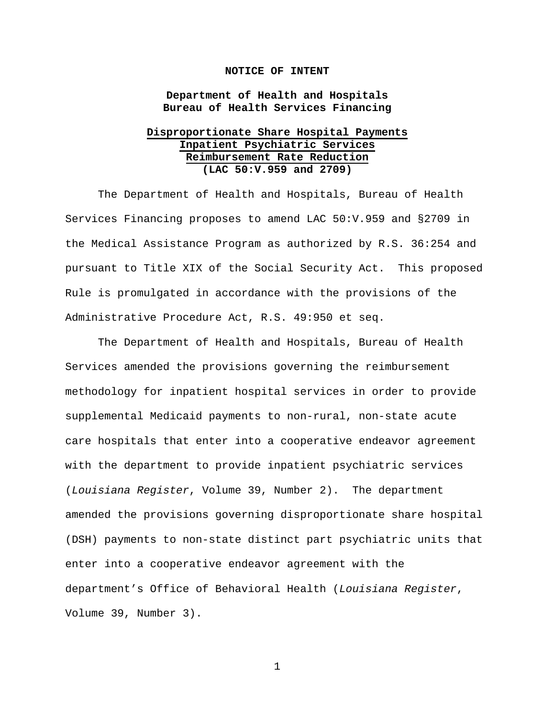#### **NOTICE OF INTENT**

### **Department of Health and Hospitals Bureau of Health Services Financing**

# **Disproportionate Share Hospital Payments Inpatient Psychiatric Services Reimbursement Rate Reduction (LAC 50:V.959 and 2709)**

The Department of Health and Hospitals, Bureau of Health Services Financing proposes to amend LAC 50:V.959 and §2709 in the Medical Assistance Program as authorized by R.S. 36:254 and pursuant to Title XIX of the Social Security Act. This proposed Rule is promulgated in accordance with the provisions of the Administrative Procedure Act, R.S. 49:950 et seq.

The Department of Health and Hospitals, Bureau of Health Services amended the provisions governing the reimbursement methodology for inpatient hospital services in order to provide supplemental Medicaid payments to non-rural, non-state acute care hospitals that enter into a cooperative endeavor agreement with the department to provide inpatient psychiatric services (*Louisiana Register*, Volume 39, Number 2). The department amended the provisions governing disproportionate share hospital (DSH) payments to non-state distinct part psychiatric units that enter into a cooperative endeavor agreement with the department's Office of Behavioral Health (*Louisiana Register*, Volume 39, Number 3).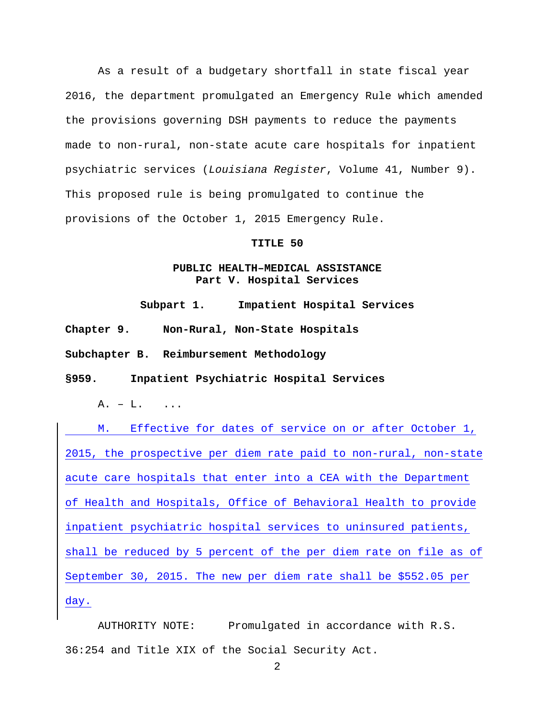As a result of a budgetary shortfall in state fiscal year 2016, the department promulgated an Emergency Rule which amended the provisions governing DSH payments to reduce the payments made to non-rural, non-state acute care hospitals for inpatient psychiatric services (*Louisiana Register*, Volume 41, Number 9). This proposed rule is being promulgated to continue the provisions of the October 1, 2015 Emergency Rule.

#### **TITLE 50**

# **PUBLIC HEALTH–MEDICAL ASSISTANCE Part V. Hospital Services**

**Subpart 1. Impatient Hospital Services**

**Chapter 9. Non-Rural, Non-State Hospitals**

**Subchapter B. Reimbursement Methodology**

**§959. Inpatient Psychiatric Hospital Services**

A. – L. ...

M. Effective for dates of service on or after October 1, 2015, the prospective per diem rate paid to non-rural, non-state acute care hospitals that enter into a CEA with the Department of Health and Hospitals, Office of Behavioral Health to provide inpatient psychiatric hospital services to uninsured patients, shall be reduced by 5 percent of the per diem rate on file as of September 30, 2015. The new per diem rate shall be \$552.05 per day.

AUTHORITY NOTE: Promulgated in accordance with R.S. 36:254 and Title XIX of the Social Security Act.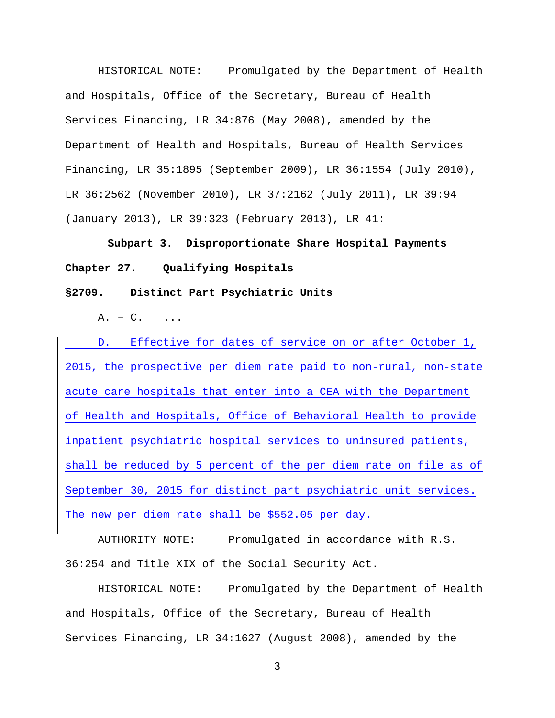HISTORICAL NOTE: Promulgated by the Department of Health and Hospitals, Office of the Secretary, Bureau of Health Services Financing, LR 34:876 (May 2008), amended by the Department of Health and Hospitals, Bureau of Health Services Financing, LR 35:1895 (September 2009), LR 36:1554 (July 2010), LR 36:2562 (November 2010), LR 37:2162 (July 2011), LR 39:94 (January 2013), LR 39:323 (February 2013), LR 41:

**Subpart 3. Disproportionate Share Hospital Payments Chapter 27. Qualifying Hospitals**

**§2709. Distinct Part Psychiatric Units**

 $A. - C.$ 

D. Effective for dates of service on or after October 1, 2015, the prospective per diem rate paid to non-rural, non-state acute care hospitals that enter into a CEA with the Department of Health and Hospitals, Office of Behavioral Health to provide inpatient psychiatric hospital services to uninsured patients, shall be reduced by 5 percent of the per diem rate on file as of September 30, 2015 for distinct part psychiatric unit services. The new per diem rate shall be \$552.05 per day.

AUTHORITY NOTE: Promulgated in accordance with R.S. 36:254 and Title XIX of the Social Security Act.

HISTORICAL NOTE: Promulgated by the Department of Health and Hospitals, Office of the Secretary, Bureau of Health Services Financing, LR 34:1627 (August 2008), amended by the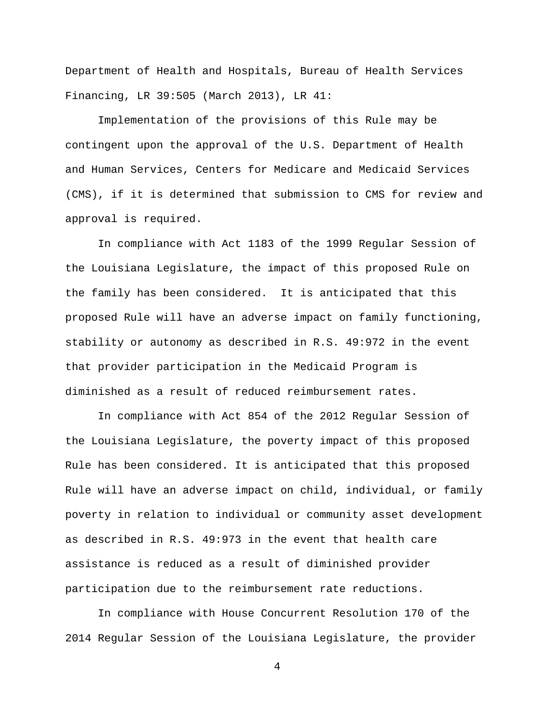Department of Health and Hospitals, Bureau of Health Services Financing, LR 39:505 (March 2013), LR 41:

Implementation of the provisions of this Rule may be contingent upon the approval of the U.S. Department of Health and Human Services, Centers for Medicare and Medicaid Services (CMS), if it is determined that submission to CMS for review and approval is required.

In compliance with Act 1183 of the 1999 Regular Session of the Louisiana Legislature, the impact of this proposed Rule on the family has been considered. It is anticipated that this proposed Rule will have an adverse impact on family functioning, stability or autonomy as described in R.S. 49:972 in the event that provider participation in the Medicaid Program is diminished as a result of reduced reimbursement rates.

In compliance with Act 854 of the 2012 Regular Session of the Louisiana Legislature, the poverty impact of this proposed Rule has been considered. It is anticipated that this proposed Rule will have an adverse impact on child, individual, or family poverty in relation to individual or community asset development as described in R.S. 49:973 in the event that health care assistance is reduced as a result of diminished provider participation due to the reimbursement rate reductions.

In compliance with House Concurrent Resolution 170 of the 2014 Regular Session of the Louisiana Legislature, the provider